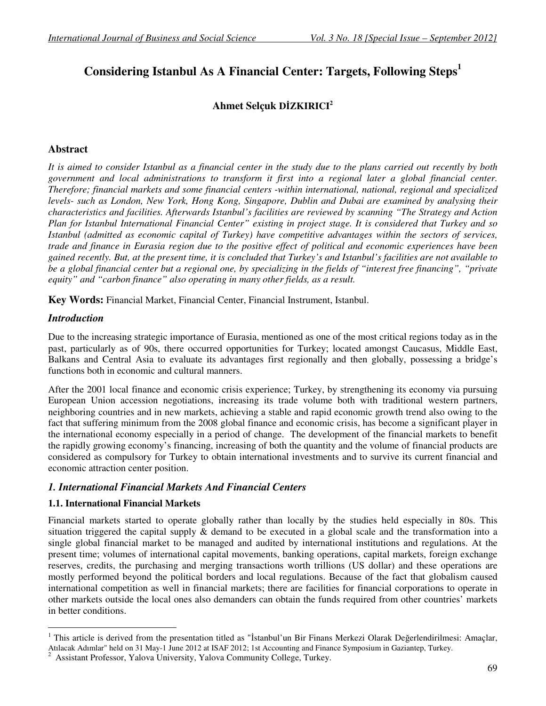# **Considering Istanbul As A Financial Center: Targets, Following Steps<sup>1</sup>**

# **Ahmet Selçuk D**İ**ZKIRICI<sup>2</sup>**

# **Abstract**

*It is aimed to consider Istanbul as a financial center in the study due to the plans carried out recently by both government and local administrations to transform it first into a regional later a global financial center. Therefore; financial markets and some financial centers -within international, national, regional and specialized levels- such as London, New York, Hong Kong, Singapore, Dublin and Dubai are examined by analysing their characteristics and facilities. Afterwards Istanbul's facilities are reviewed by scanning "The Strategy and Action Plan for Istanbul International Financial Center" existing in project stage. It is considered that Turkey and so Istanbul (admitted as economic capital of Turkey) have competitive advantages within the sectors of services, trade and finance in Eurasia region due to the positive effect of political and economic experiences have been gained recently. But, at the present time, it is concluded that Turkey's and Istanbul's facilities are not available to be a global financial center but a regional one, by specializing in the fields of "interest free financing", "private equity" and "carbon finance" also operating in many other fields, as a result.* 

**Key Words:** Financial Market, Financial Center, Financial Instrument, Istanbul.

### *Introduction*

<u>.</u>

Due to the increasing strategic importance of Eurasia, mentioned as one of the most critical regions today as in the past, particularly as of 90s, there occurred opportunities for Turkey; located amongst Caucasus, Middle East, Balkans and Central Asia to evaluate its advantages first regionally and then globally, possessing a bridge's functions both in economic and cultural manners.

After the 2001 local finance and economic crisis experience; Turkey, by strengthening its economy via pursuing European Union accession negotiations, increasing its trade volume both with traditional western partners, neighboring countries and in new markets, achieving a stable and rapid economic growth trend also owing to the fact that suffering minimum from the 2008 global finance and economic crisis, has become a significant player in the international economy especially in a period of change. The development of the financial markets to benefit the rapidly growing economy's financing, increasing of both the quantity and the volume of financial products are considered as compulsory for Turkey to obtain international investments and to survive its current financial and economic attraction center position.

# *1. International Financial Markets And Financial Centers*

### **1.1. International Financial Markets**

Financial markets started to operate globally rather than locally by the studies held especially in 80s. This situation triggered the capital supply & demand to be executed in a global scale and the transformation into a single global financial market to be managed and audited by international institutions and regulations. At the present time; volumes of international capital movements, banking operations, capital markets, foreign exchange reserves, credits, the purchasing and merging transactions worth trillions (US dollar) and these operations are mostly performed beyond the political borders and local regulations. Because of the fact that globalism caused international competition as well in financial markets; there are facilities for financial corporations to operate in other markets outside the local ones also demanders can obtain the funds required from other countries' markets in better conditions.

<sup>&</sup>lt;sup>1</sup> This article is derived from the presentation titled as "İstanbul'un Bir Finans Merkezi Olarak Değerlendirilmesi: Amaçlar, Atılacak Adımlar" held on 31 May-1 June 2012 at ISAF 2012; 1st Accounting and Finance Symposium in Gaziantep, Turkey. 2

Assistant Professor, Yalova University, Yalova Community College, Turkey.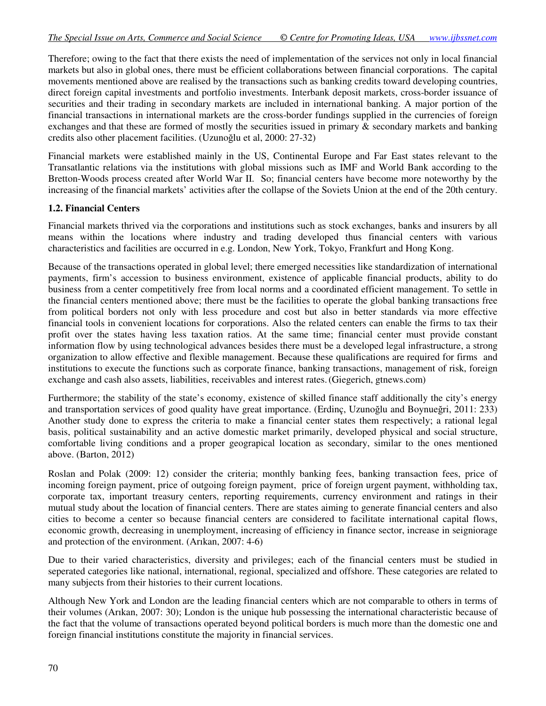Therefore; owing to the fact that there exists the need of implementation of the services not only in local financial markets but also in global ones, there must be efficient collaborations between financial corporations.The capital movements mentioned above are realised by the transactions such as banking credits toward developing countries, direct foreign capital investments and portfolio investments. Interbank deposit markets, cross-border issuance of securities and their trading in secondary markets are included in international banking. A major portion of the financial transactions in international markets are the cross-border fundings supplied in the currencies of foreign exchanges and that these are formed of mostly the securities issued in primary & secondary markets and banking credits also other placement facilities. (Uzunoğlu et al, 2000: 27-32)

Financial markets were established mainly in the US, Continental Europe and Far East states relevant to the Transatlantic relations via the institutions with global missions such as IMF and World Bank according to the Bretton-Woods process created after World War II. So; financial centers have become more noteworthy by the increasing of the financial markets' activities after the collapse of the Soviets Union at the end of the 20th century.

#### **1.2. Financial Centers**

Financial markets thrived via the corporations and institutions such as stock exchanges, banks and insurers by all means within the locations where industry and trading developed thus financial centers with various characteristics and facilities are occurred in e.g. London, New York, Tokyo, Frankfurt and Hong Kong.

Because of the transactions operated in global level; there emerged necessities like standardization of international payments, firm's accession to business environment, existence of applicable financial products, ability to do business from a center competitively free from local norms and a coordinated efficient management. To settle in the financial centers mentioned above; there must be the facilities to operate the global banking transactions free from political borders not only with less procedure and cost but also in better standards via more effective financial tools in convenient locations for corporations. Also the related centers can enable the firms to tax their profit over the states having less taxation ratios. At the same time; financial center must provide constant information flow by using technological advances besides there must be a developed legal infrastructure, a strong organization to allow effective and flexible management. Because these qualifications are required for firms and institutions to execute the functions such as corporate finance, banking transactions, management of risk, foreign exchange and cash also assets, liabilities, receivables and interest rates.(Giegerich, gtnews.com)

Furthermore; the stability of the state's economy, existence of skilled finance staff additionally the city's energy and transportation services of good quality have great importance. (Erdinç, Uzunoğlu and Boynueğri, 2011: 233) Another study done to express the criteria to make a financial center states them respectively; a rational legal basis, political sustainability and an active domestic market primarily, developed physical and social structure, comfortable living conditions and a proper geograpical location as secondary, similar to the ones mentioned above. (Barton, 2012)

Roslan and Polak (2009: 12) consider the criteria; monthly banking fees, banking transaction fees, price of incoming foreign payment, price of outgoing foreign payment, price of foreign urgent payment, withholding tax, corporate tax, important treasury centers, reporting requirements, currency environment and ratings in their mutual study about the location of financial centers. There are states aiming to generate financial centers and also cities to become a center so because financial centers are considered to facilitate international capital flows, economic growth, decreasing in unemployment, increasing of efficiency in finance sector, increase in seigniorage and protection of the environment. (Arıkan, 2007: 4-6)

Due to their varied characteristics, diversity and privileges; each of the financial centers must be studied in seperated categories like national, international, regional, specialized and offshore. These categories are related to many subjects from their histories to their current locations.

Although New York and London are the leading financial centers which are not comparable to others in terms of their volumes (Arıkan, 2007: 30); London is the unique hub possessing the international characteristic because of the fact that the volume of transactions operated beyond political borders is much more than the domestic one and foreign financial institutions constitute the majority in financial services.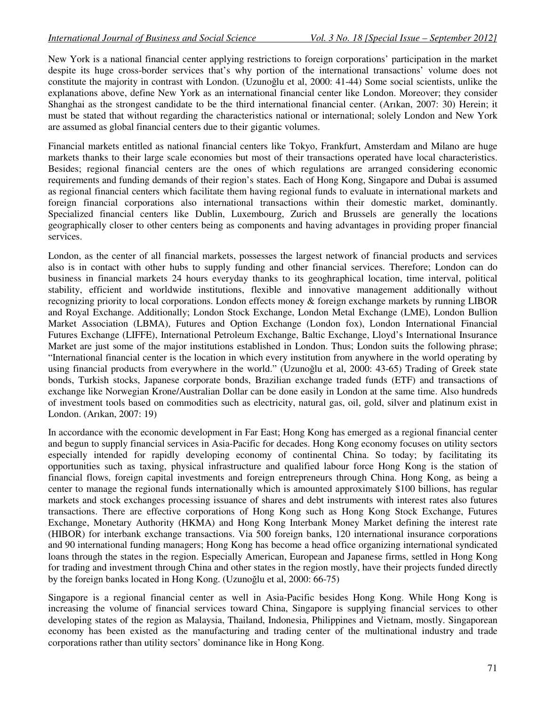New York is a national financial center applying restrictions to foreign corporations' participation in the market despite its huge cross-border services that's why portion of the international transactions' volume does not constitute the majority in contrast with London. (Uzunoğlu et al, 2000: 41-44) Some social scientists, unlike the explanations above, define New York as an international financial center like London. Moreover; they consider Shanghai as the strongest candidate to be the third international financial center. (Arıkan, 2007: 30) Herein; it must be stated that without regarding the characteristics national or international; solely London and New York are assumed as global financial centers due to their gigantic volumes.

Financial markets entitled as national financial centers like Tokyo, Frankfurt, Amsterdam and Milano are huge markets thanks to their large scale economies but most of their transactions operated have local characteristics. Besides; regional financial centers are the ones of which regulations are arranged considering economic requirements and funding demands of their region's states. Each of Hong Kong, Singapore and Dubai is assumed as regional financial centers which facilitate them having regional funds to evaluate in international markets and foreign financial corporations also international transactions within their domestic market, dominantly. Specialized financial centers like Dublin, Luxembourg, Zurich and Brussels are generally the locations geographically closer to other centers being as components and having advantages in providing proper financial services.

London, as the center of all financial markets, possesses the largest network of financial products and services also is in contact with other hubs to supply funding and other financial services. Therefore; London can do business in financial markets 24 hours everyday thanks to its geoghraphical location, time interval, political stability, efficient and worldwide institutions, flexible and innovative management additionally without recognizing priority to local corporations. London effects money & foreign exchange markets by running LIBOR and Royal Exchange. Additionally; London Stock Exchange, London Metal Exchange (LME), London Bullion Market Association (LBMA), Futures and Option Exchange (London fox), London International Financial Futures Exchange (LIFFE), International Petroleum Exchange, Baltic Exchange, Lloyd's International Insurance Market are just some of the major institutions established in London. Thus; London suits the following phrase; "International financial center is the location in which every institution from anywhere in the world operating by using financial products from everywhere in the world." (Uzunoğlu et al, 2000: 43-65) Trading of Greek state bonds, Turkish stocks, Japanese corporate bonds, Brazilian exchange traded funds (ETF) and transactions of exchange like Norwegian Krone/Australian Dollar can be done easily in London at the same time. Also hundreds of investment tools based on commodities such as electricity, natural gas, oil, gold, silver and platinum exist in London. (Arıkan, 2007: 19)

In accordance with the economic development in Far East; Hong Kong has emerged as a regional financial center and begun to supply financial services in Asia-Pacific for decades. Hong Kong economy focuses on utility sectors especially intended for rapidly developing economy of continental China. So today; by facilitating its opportunities such as taxing, physical infrastructure and qualified labour force Hong Kong is the station of financial flows, foreign capital investments and foreign entrepreneurs through China. Hong Kong, as being a center to manage the regional funds internationally which is amounted approximately \$100 billions, has regular markets and stock exchanges processing issuance of shares and debt instruments with interest rates also futures transactions. There are effective corporations of Hong Kong such as Hong Kong Stock Exchange, Futures Exchange, Monetary Authority (HKMA) and Hong Kong Interbank Money Market defining the interest rate (HIBOR) for interbank exchange transactions. Via 500 foreign banks, 120 international insurance corporations and 90 international funding managers; Hong Kong has become a head office organizing international syndicated loans through the states in the region. Especially American, European and Japanese firms, settled in Hong Kong for trading and investment through China and other states in the region mostly, have their projects funded directly by the foreign banks located in Hong Kong. (Uzunoğlu et al, 2000: 66-75)

Singapore is a regional financial center as well in Asia-Pacific besides Hong Kong. While Hong Kong is increasing the volume of financial services toward China, Singapore is supplying financial services to other developing states of the region as Malaysia, Thailand, Indonesia, Philippines and Vietnam, mostly. Singaporean economy has been existed as the manufacturing and trading center of the multinational industry and trade corporations rather than utility sectors' dominance like in Hong Kong.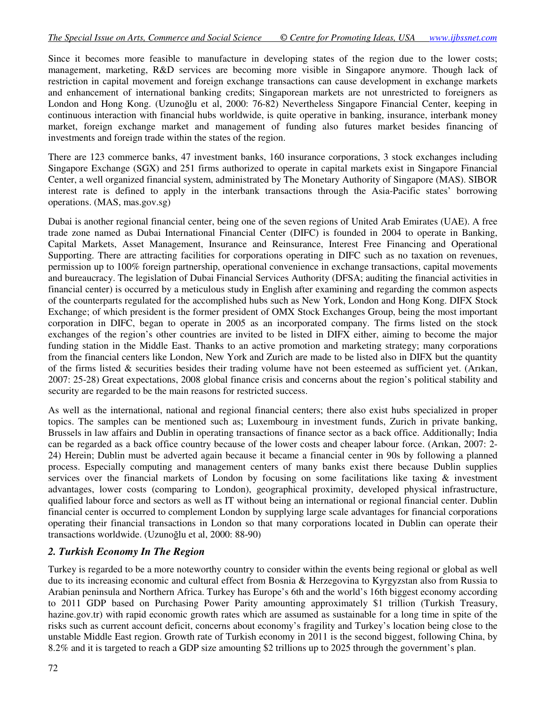Since it becomes more feasible to manufacture in developing states of the region due to the lower costs; management, marketing, R&D services are becoming more visible in Singapore anymore. Though lack of restriction in capital movement and foreign exchange transactions can cause development in exchange markets and enhancement of international banking credits; Singaporean markets are not unrestricted to foreigners as London and Hong Kong. (Uzunoğlu et al, 2000: 76-82) Nevertheless Singapore Financial Center, keeping in continuous interaction with financial hubs worldwide, is quite operative in banking, insurance, interbank money market, foreign exchange market and management of funding also futures market besides financing of investments and foreign trade within the states of the region.

There are 123 commerce banks, 47 investment banks, 160 insurance corporations, 3 stock exchanges including Singapore Exchange (SGX) and 251 firms authorized to operate in capital markets exist in Singapore Financial Center, a well organized financial system, administrated by The Monetary Authority of Singapore (MAS). SIBOR interest rate is defined to apply in the interbank transactions through the Asia-Pacific states' borrowing operations. (MAS, mas.gov.sg)

Dubai is another regional financial center, being one of the seven regions of United Arab Emirates (UAE). A free trade zone named as Dubai International Financial Center (DIFC) is founded in 2004 to operate in Banking, Capital Markets, Asset Management, Insurance and Reinsurance, Interest Free Financing and Operational Supporting. There are attracting facilities for corporations operating in DIFC such as no taxation on revenues, permission up to 100% foreign partnership, operational convenience in exchange transactions, capital movements and bureaucracy. The legislation of Dubai Financial Services Authority (DFSA; auditing the financial activities in financial center) is occurred by a meticulous study in English after examining and regarding the common aspects of the counterparts regulated for the accomplished hubs such as New York, London and Hong Kong. DIFX Stock Exchange; of which president is the former president of OMX Stock Exchanges Group, being the most important corporation in DIFC, began to operate in 2005 as an incorporated company. The firms listed on the stock exchanges of the region's other countries are invited to be listed in DIFX either, aiming to become the major funding station in the Middle East. Thanks to an active promotion and marketing strategy; many corporations from the financial centers like London, New York and Zurich are made to be listed also in DIFX but the quantity of the firms listed & securities besides their trading volume have not been esteemed as sufficient yet. (Arıkan, 2007: 25-28) Great expectations, 2008 global finance crisis and concerns about the region's political stability and security are regarded to be the main reasons for restricted success.

As well as the international, national and regional financial centers; there also exist hubs specialized in proper topics. The samples can be mentioned such as; Luxembourg in investment funds, Zurich in private banking, Brussels in law affairs and Dublin in operating transactions of finance sector as a back office. Additionally; India can be regarded as a back office country because of the lower costs and cheaper labour force. (Arıkan, 2007: 2- 24) Herein; Dublin must be adverted again because it became a financial center in 90s by following a planned process. Especially computing and management centers of many banks exist there because Dublin supplies services over the financial markets of London by focusing on some facilitations like taxing  $\&$  investment advantages, lower costs (comparing to London), geographical proximity, developed physical infrastructure, qualified labour force and sectors as well as IT without being an international or regional financial center. Dublin financial center is occurred to complement London by supplying large scale advantages for financial corporations operating their financial transactions in London so that many corporations located in Dublin can operate their transactions worldwide. (Uzunoğlu et al, 2000: 88-90)

### *2. Turkish Economy In The Region*

Turkey is regarded to be a more noteworthy country to consider within the events being regional or global as well due to its increasing economic and cultural effect from Bosnia & Herzegovina to Kyrgyzstan also from Russia to Arabian peninsula and Northern Africa. Turkey has Europe's 6th and the world's 16th biggest economy according to 2011 GDP based on Purchasing Power Parity amounting approximately \$1 trillion (Turkish Treasury, hazine.gov.tr) with rapid economic growth rates which are assumed as sustainable for a long time in spite of the risks such as current account deficit, concerns about economy's fragility and Turkey's location being close to the unstable Middle East region. Growth rate of Turkish economy in 2011 is the second biggest, following China, by 8.2% and it is targeted to reach a GDP size amounting \$2 trillions up to 2025 through the government's plan.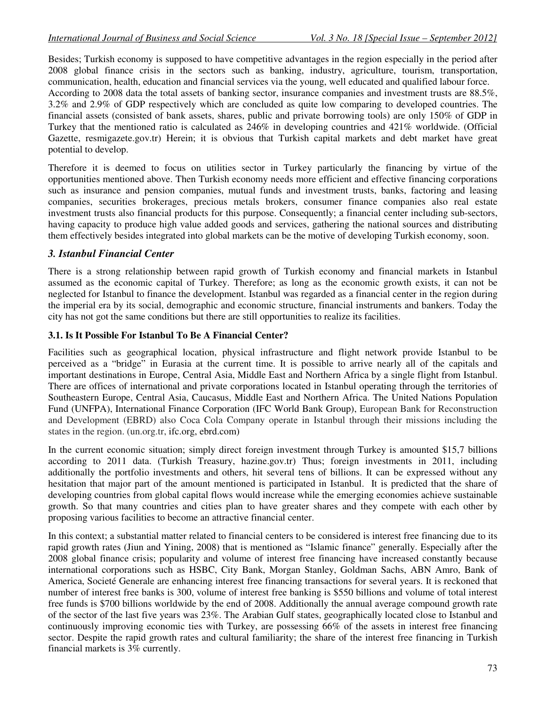Besides; Turkish economy is supposed to have competitive advantages in the region especially in the period after 2008 global finance crisis in the sectors such as banking, industry, agriculture, tourism, transportation, communication, health, education and financial services via the young, well educated and qualified labour force. According to 2008 data the total assets of banking sector, insurance companies and investment trusts are 88.5%, 3.2% and 2.9% of GDP respectively which are concluded as quite low comparing to developed countries. The financial assets (consisted of bank assets, shares, public and private borrowing tools) are only 150% of GDP in Turkey that the mentioned ratio is calculated as 246% in developing countries and 421% worldwide. (Official Gazette, resmigazete.gov.tr) Herein; it is obvious that Turkish capital markets and debt market have great potential to develop.

Therefore it is deemed to focus on utilities sector in Turkey particularly the financing by virtue of the opportunities mentioned above. Then Turkish economy needs more efficient and effective financing corporations such as insurance and pension companies, mutual funds and investment trusts, banks, factoring and leasing companies, securities brokerages, precious metals brokers, consumer finance companies also real estate investment trusts also financial products for this purpose. Consequently; a financial center including sub-sectors, having capacity to produce high value added goods and services, gathering the national sources and distributing them effectively besides integrated into global markets can be the motive of developing Turkish economy, soon.

### *3. Istanbul Financial Center*

There is a strong relationship between rapid growth of Turkish economy and financial markets in Istanbul assumed as the economic capital of Turkey. Therefore; as long as the economic growth exists, it can not be neglected for Istanbul to finance the development. Istanbul was regarded as a financial center in the region during the imperial era by its social, demographic and economic structure, financial instruments and bankers. Today the city has not got the same conditions but there are still opportunities to realize its facilities.

#### **3.1. Is It Possible For Istanbul To Be A Financial Center?**

Facilities such as geographical location, physical infrastructure and flight network provide Istanbul to be perceived as a "bridge" in Eurasia at the current time. It is possible to arrive nearly all of the capitals and important destinations in Europe, Central Asia, Middle East and Northern Africa by a single flight from Istanbul. There are offices of international and private corporations located in Istanbul operating through the territories of Southeastern Europe, Central Asia, Caucasus, Middle East and Northern Africa. The United Nations Population Fund (UNFPA), International Finance Corporation (IFC World Bank Group), European Bank for Reconstruction and Development (EBRD) also Coca Cola Company operate in Istanbul through their missions including the states in the region. (un.org.tr, ifc.org, ebrd.com)

In the current economic situation; simply direct foreign investment through Turkey is amounted \$15,7 billions according to 2011 data. (Turkish Treasury, hazine.gov.tr) Thus; foreign investments in 2011, including additionally the portfolio investments and others, hit several tens of billions. It can be expressed without any hesitation that major part of the amount mentioned is participated in Istanbul. It is predicted that the share of developing countries from global capital flows would increase while the emerging economies achieve sustainable growth. So that many countries and cities plan to have greater shares and they compete with each other by proposing various facilities to become an attractive financial center.

In this context; a substantial matter related to financial centers to be considered is interest free financing due to its rapid growth rates (Jiun and Yining, 2008) that is mentioned as "Islamic finance" generally. Especially after the 2008 global finance crisis; popularity and volume of interest free financing have increased constantly because international corporations such as HSBC, City Bank, Morgan Stanley, Goldman Sachs, ABN Amro, Bank of America, Societé Generale are enhancing interest free financing transactions for several years. It is reckoned that number of interest free banks is 300, volume of interest free banking is \$550 billions and volume of total interest free funds is \$700 billions worldwide by the end of 2008. Additionally the annual average compound growth rate of the sector of the last five years was 23%. The Arabian Gulf states, geographically located close to Istanbul and continuously improving economic ties with Turkey, are possessing 66% of the assets in interest free financing sector. Despite the rapid growth rates and cultural familiarity; the share of the interest free financing in Turkish financial markets is 3% currently.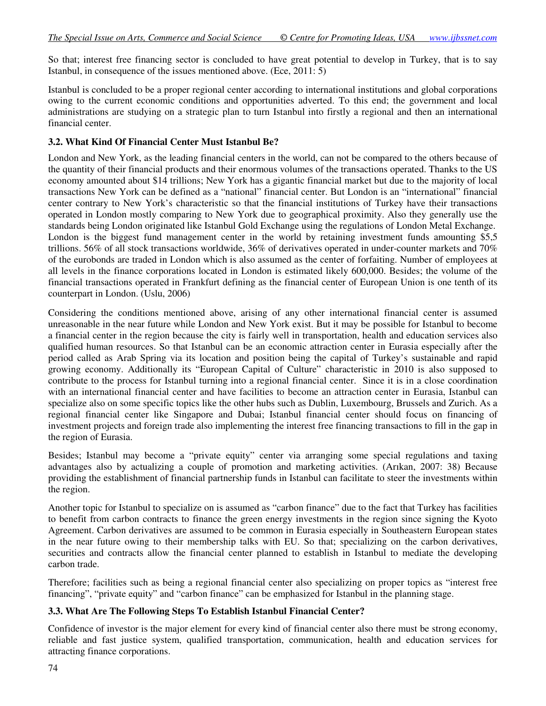So that; interest free financing sector is concluded to have great potential to develop in Turkey, that is to say Istanbul, in consequence of the issues mentioned above. (Ece, 2011: 5)

Istanbul is concluded to be a proper regional center according to international institutions and global corporations owing to the current economic conditions and opportunities adverted. To this end; the government and local administrations are studying on a strategic plan to turn Istanbul into firstly a regional and then an international financial center.

#### **3.2. What Kind Of Financial Center Must Istanbul Be?**

London and New York, as the leading financial centers in the world, can not be compared to the others because of the quantity of their financial products and their enormous volumes of the transactions operated. Thanks to the US economy amounted about \$14 trillions; New York has a gigantic financial market but due to the majority of local transactions New York can be defined as a "national" financial center. But London is an "international" financial center contrary to New York's characteristic so that the financial institutions of Turkey have their transactions operated in London mostly comparing to New York due to geographical proximity. Also they generally use the standards being London originated like Istanbul Gold Exchange using the regulations of London Metal Exchange. London is the biggest fund management center in the world by retaining investment funds amounting \$5,5 trillions. 56% of all stock transactions worldwide, 36% of derivatives operated in under-counter markets and 70% of the eurobonds are traded in London which is also assumed as the center of forfaiting. Number of employees at all levels in the finance corporations located in London is estimated likely 600,000. Besides; the volume of the financial transactions operated in Frankfurt defining as the financial center of European Union is one tenth of its counterpart in London. (Uslu, 2006)

Considering the conditions mentioned above, arising of any other international financial center is assumed unreasonable in the near future while London and New York exist. But it may be possible for Istanbul to become a financial center in the region because the city is fairly well in transportation, health and education services also qualified human resources. So that Istanbul can be an economic attraction center in Eurasia especially after the period called as Arab Spring via its location and position being the capital of Turkey's sustainable and rapid growing economy. Additionally its "European Capital of Culture" characteristic in 2010 is also supposed to contribute to the process for Istanbul turning into a regional financial center. Since it is in a close coordination with an international financial center and have facilities to become an attraction center in Eurasia, Istanbul can specialize also on some specific topics like the other hubs such as Dublin, Luxembourg, Brussels and Zurich. As a regional financial center like Singapore and Dubai; Istanbul financial center should focus on financing of investment projects and foreign trade also implementing the interest free financing transactions to fill in the gap in the region of Eurasia.

Besides; Istanbul may become a "private equity" center via arranging some special regulations and taxing advantages also by actualizing a couple of promotion and marketing activities. (Arıkan, 2007: 38) Because providing the establishment of financial partnership funds in Istanbul can facilitate to steer the investments within the region.

Another topic for Istanbul to specialize on is assumed as "carbon finance" due to the fact that Turkey has facilities to benefit from carbon contracts to finance the green energy investments in the region since signing the Kyoto Agreement. Carbon derivatives are assumed to be common in Eurasia especially in Southeastern European states in the near future owing to their membership talks with EU. So that; specializing on the carbon derivatives, securities and contracts allow the financial center planned to establish in Istanbul to mediate the developing carbon trade.

Therefore; facilities such as being a regional financial center also specializing on proper topics as "interest free financing", "private equity" and "carbon finance" can be emphasized for Istanbul in the planning stage.

### **3.3. What Are The Following Steps To Establish Istanbul Financial Center?**

Confidence of investor is the major element for every kind of financial center also there must be strong economy, reliable and fast justice system, qualified transportation, communication, health and education services for attracting finance corporations.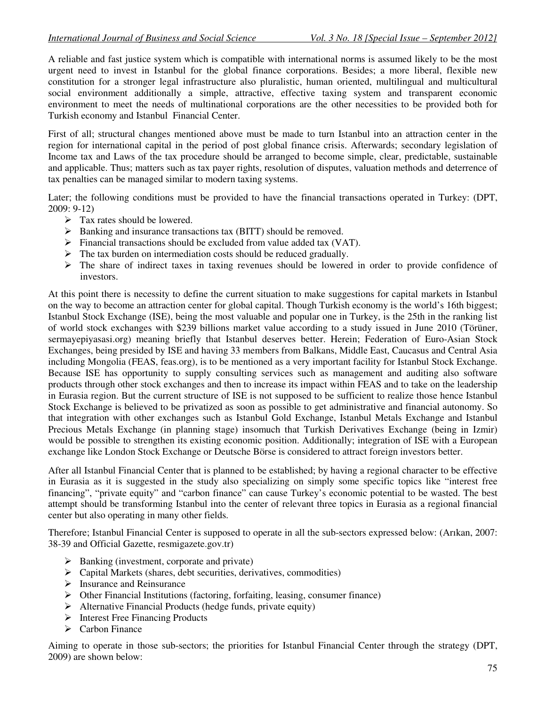A reliable and fast justice system which is compatible with international norms is assumed likely to be the most urgent need to invest in Istanbul for the global finance corporations. Besides; a more liberal, flexible new constitution for a stronger legal infrastructure also pluralistic, human oriented, multilingual and multicultural social environment additionally a simple, attractive, effective taxing system and transparent economic environment to meet the needs of multinational corporations are the other necessities to be provided both for Turkish economy and Istanbul Financial Center.

First of all; structural changes mentioned above must be made to turn Istanbul into an attraction center in the region for international capital in the period of post global finance crisis. Afterwards; secondary legislation of Income tax and Laws of the tax procedure should be arranged to become simple, clear, predictable, sustainable and applicable. Thus; matters such as tax payer rights, resolution of disputes, valuation methods and deterrence of tax penalties can be managed similar to modern taxing systems.

Later; the following conditions must be provided to have the financial transactions operated in Turkey: (DPT, 2009: 9-12)

- $\triangleright$  Tax rates should be lowered.
- $\triangleright$  Banking and insurance transactions tax (BITT) should be removed.
- $\triangleright$  Financial transactions should be excluded from value added tax (VAT).
- $\triangleright$  The tax burden on intermediation costs should be reduced gradually.
- The share of indirect taxes in taxing revenues should be lowered in order to provide confidence of investors.

At this point there is necessity to define the current situation to make suggestions for capital markets in Istanbul on the way to become an attraction center for global capital. Though Turkish economy is the world's 16th biggest; Istanbul Stock Exchange (ISE), being the most valuable and popular one in Turkey, is the 25th in the ranking list of world stock exchanges with \$239 billions market value according to a study issued in June 2010 (Törüner, sermayepiyasasi.org) meaning briefly that Istanbul deserves better. Herein; Federation of Euro-Asian Stock Exchanges, being presided by ISE and having 33 members from Balkans, Middle East, Caucasus and Central Asia including Mongolia (FEAS, feas.org), is to be mentioned as a very important facility for Istanbul Stock Exchange. Because ISE has opportunity to supply consulting services such as management and auditing also software products through other stock exchanges and then to increase its impact within FEAS and to take on the leadership in Eurasia region. But the current structure of ISE is not supposed to be sufficient to realize those hence Istanbul Stock Exchange is believed to be privatized as soon as possible to get administrative and financial autonomy. So that integration with other exchanges such as Istanbul Gold Exchange, Istanbul Metals Exchange and Istanbul Precious Metals Exchange (in planning stage) insomuch that Turkish Derivatives Exchange (being in Izmir) would be possible to strengthen its existing economic position. Additionally; integration of ISE with a European exchange like London Stock Exchange or Deutsche Börse is considered to attract foreign investors better.

After all Istanbul Financial Center that is planned to be established; by having a regional character to be effective in Eurasia as it is suggested in the study also specializing on simply some specific topics like "interest free financing", "private equity" and "carbon finance" can cause Turkey's economic potential to be wasted. The best attempt should be transforming Istanbul into the center of relevant three topics in Eurasia as a regional financial center but also operating in many other fields.

Therefore; Istanbul Financial Center is supposed to operate in all the sub-sectors expressed below: (Arıkan, 2007: 38-39 and Official Gazette, resmigazete.gov.tr)

- $\triangleright$  Banking (investment, corporate and private)
- $\triangleright$  Capital Markets (shares, debt securities, derivatives, commodities)
- $\triangleright$  Insurance and Reinsurance
- $\triangleright$  Other Financial Institutions (factoring, forfaiting, leasing, consumer finance)
- $\triangleright$  Alternative Financial Products (hedge funds, private equity)
- $\triangleright$  Interest Free Financing Products
- $\triangleright$  Carbon Finance

Aiming to operate in those sub-sectors; the priorities for Istanbul Financial Center through the strategy (DPT, 2009) are shown below: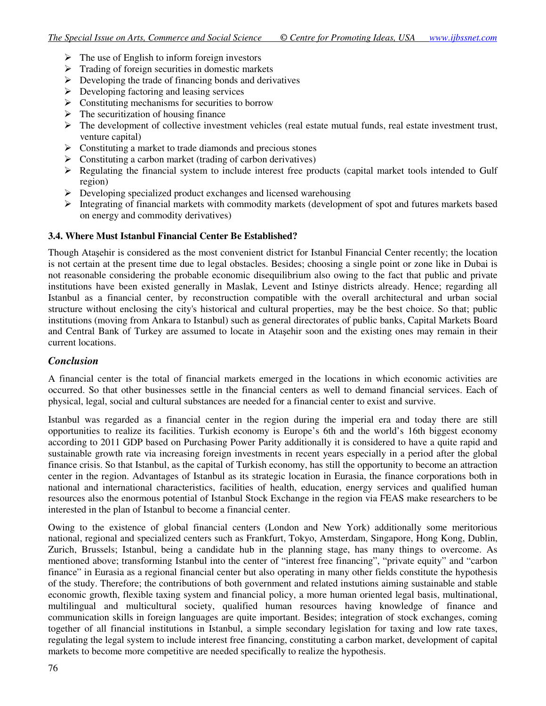- $\triangleright$  The use of English to inform foreign investors
- $\triangleright$  Trading of foreign securities in domestic markets
- $\triangleright$  Developing the trade of financing bonds and derivatives
- $\triangleright$  Developing factoring and leasing services
- $\triangleright$  Constituting mechanisms for securities to borrow
- $\triangleright$  The securitization of housing finance
- The development of collective investment vehicles (real estate mutual funds, real estate investment trust, venture capital)
- $\triangleright$  Constituting a market to trade diamonds and precious stones
- $\triangleright$  Constituting a carbon market (trading of carbon derivatives)
- Regulating the financial system to include interest free products (capital market tools intended to Gulf region)
- $\triangleright$  Developing specialized product exchanges and licensed warehousing
- Integrating of financial markets with commodity markets (development of spot and futures markets based on energy and commodity derivatives)

#### **3.4. Where Must Istanbul Financial Center Be Established?**

Though Ataşehir is considered as the most convenient district for Istanbul Financial Center recently; the location is not certain at the present time due to legal obstacles. Besides; choosing a single point or zone like in Dubai is not reasonable considering the probable economic disequilibrium also owing to the fact that public and private institutions have been existed generally in Maslak, Levent and Istinye districts already. Hence; regarding all Istanbul as a financial center, by reconstruction compatible with the overall architectural and urban social structure without enclosing the city's historical and cultural properties, may be the best choice. So that; public institutions (moving from Ankara to Istanbul) such as general directorates of public banks, Capital Markets Board and Central Bank of Turkey are assumed to locate in Ataşehir soon and the existing ones may remain in their current locations.

### *Conclusion*

A financial center is the total of financial markets emerged in the locations in which economic activities are occurred. So that other businesses settle in the financial centers as well to demand financial services. Each of physical, legal, social and cultural substances are needed for a financial center to exist and survive.

Istanbul was regarded as a financial center in the region during the imperial era and today there are still opportunities to realize its facilities. Turkish economy is Europe's 6th and the world's 16th biggest economy according to 2011 GDP based on Purchasing Power Parity additionally it is considered to have a quite rapid and sustainable growth rate via increasing foreign investments in recent years especially in a period after the global finance crisis. So that Istanbul, as the capital of Turkish economy, has still the opportunity to become an attraction center in the region. Advantages of Istanbul as its strategic location in Eurasia, the finance corporations both in national and international characteristics, facilities of health, education, energy services and qualified human resources also the enormous potential of Istanbul Stock Exchange in the region via FEAS make researchers to be interested in the plan of Istanbul to become a financial center.

Owing to the existence of global financial centers (London and New York) additionally some meritorious national, regional and specialized centers such as Frankfurt, Tokyo, Amsterdam, Singapore, Hong Kong, Dublin, Zurich, Brussels; Istanbul, being a candidate hub in the planning stage, has many things to overcome. As mentioned above; transforming Istanbul into the center of "interest free financing", "private equity" and "carbon finance" in Eurasia as a regional financial center but also operating in many other fields constitute the hypothesis of the study. Therefore; the contributions of both government and related instutions aiming sustainable and stable economic growth, flexible taxing system and financial policy, a more human oriented legal basis, multinational, multilingual and multicultural society, qualified human resources having knowledge of finance and communication skills in foreign languages are quite important. Besides; integration of stock exchanges, coming together of all financial institutions in Istanbul, a simple secondary legislation for taxing and low rate taxes, regulating the legal system to include interest free financing, constituting a carbon market, development of capital markets to become more competitive are needed specifically to realize the hypothesis.